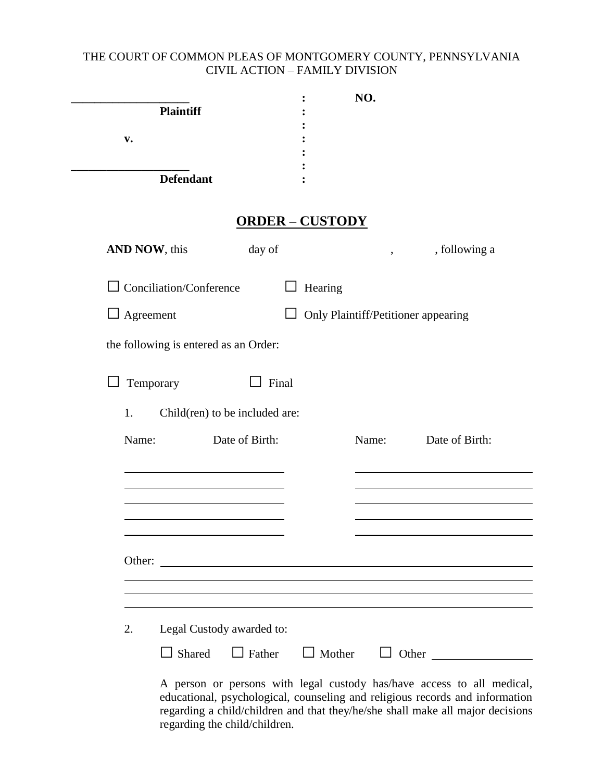## THE COURT OF COMMON PLEAS OF MONTGOMERY COUNTY, PENNSYLVANIA CIVIL ACTION – FAMILY DIVISION

| <b>Plaintiff</b>                      |                        | NO.                                                                    |                                                               |
|---------------------------------------|------------------------|------------------------------------------------------------------------|---------------------------------------------------------------|
| v.                                    |                        |                                                                        |                                                               |
|                                       |                        |                                                                        |                                                               |
| <b>Defendant</b>                      |                        |                                                                        |                                                               |
|                                       | <b>ORDER - CUSTODY</b> |                                                                        |                                                               |
| AND NOW, this                         | day of                 |                                                                        | , following a                                                 |
| $\Box$ Conciliation/Conference        | Hearing                |                                                                        |                                                               |
| $\Box$ Agreement                      |                        | Only Plaintiff/Petitioner appearing                                    |                                                               |
| the following is entered as an Order: |                        |                                                                        |                                                               |
|                                       |                        |                                                                        |                                                               |
| Temporary                             | Final                  |                                                                        |                                                               |
| Child(ren) to be included are:<br>1.  |                        |                                                                        |                                                               |
| Name:                                 | Date of Birth:         | Name:                                                                  | Date of Birth:                                                |
|                                       |                        |                                                                        |                                                               |
|                                       |                        |                                                                        |                                                               |
|                                       |                        |                                                                        |                                                               |
|                                       |                        |                                                                        |                                                               |
| Other:                                |                        |                                                                        |                                                               |
|                                       |                        |                                                                        |                                                               |
|                                       |                        |                                                                        |                                                               |
| 2.<br>Legal Custody awarded to:       |                        |                                                                        |                                                               |
|                                       |                        |                                                                        | $\Box$ Shared $\Box$ Father $\Box$ Mother $\Box$ Other $\Box$ |
|                                       |                        | A person or persons with legal custody has/have access to all medical, |                                                               |

educational, psychological, counseling and religious records and information regarding a child/children and that they/he/she shall make all major decisions regarding the child/children.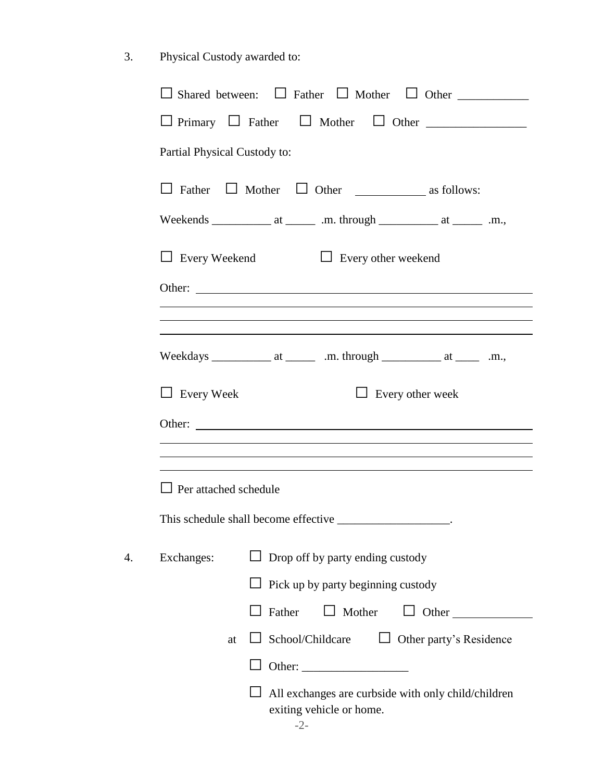3. Physical Custody awarded to:

|                              | $\Box$ Primary $\Box$ Father $\Box$ Mother $\Box$ Other $\Box$                   |
|------------------------------|----------------------------------------------------------------------------------|
| Partial Physical Custody to: |                                                                                  |
|                              |                                                                                  |
|                              |                                                                                  |
|                              | $\Box$ Every Weekend $\Box$ Every other weekend                                  |
|                              | Other:                                                                           |
|                              | ,我们也不会有什么。""我们的人,我们也不会有什么?""我们的人,我们也不会有什么?""我们的人,我们也不会有什么?""我们的人,我们也不会有什么?""我们的人 |
|                              |                                                                                  |
| $\Box$ Every Week            | $\Box$ Every other week                                                          |
|                              | Other:                                                                           |
|                              |                                                                                  |
|                              |                                                                                  |
| $\Box$ Per attached schedule |                                                                                  |
|                              | This schedule shall become effective                                             |
| Exchanges:                   | $\Box$ Drop off by party ending custody                                          |
|                              | Pick up by party beginning custody                                               |
|                              | $\Box$ Mother<br>Father<br>$\Box$ Other                                          |
| at                           | $\Box$ School/Childcare $\Box$ Other party's Residence                           |
|                              |                                                                                  |
|                              | All exchanges are curbside with only child/children<br>exiting vehicle or home.  |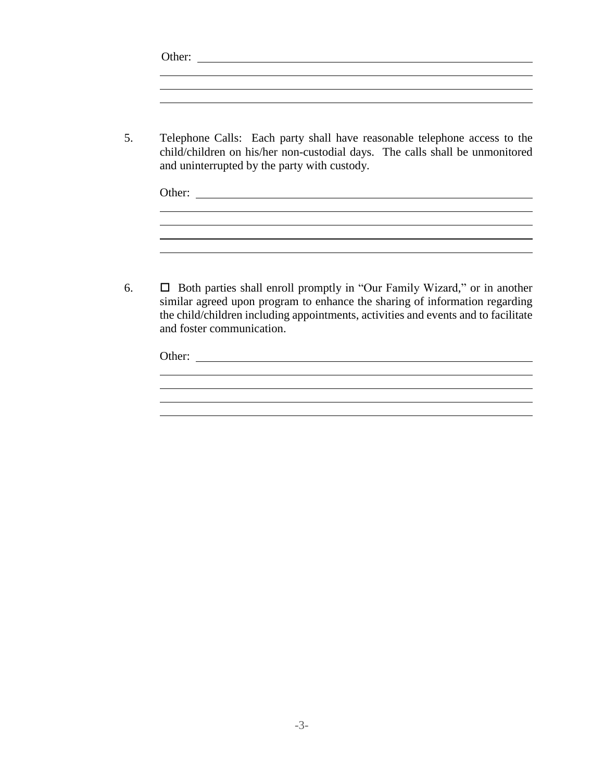5. Telephone Calls: Each party shall have reasonable telephone access to the child/children on his/her non-custodial days. The calls shall be unmonitored and uninterrupted by the party with custody.

| Other: |  |  |  |
|--------|--|--|--|
|        |  |  |  |
|        |  |  |  |

6.  $\Box$  Both parties shall enroll promptly in "Our Family Wizard," or in another similar agreed upon program to enhance the sharing of information regarding the child/children including appointments, activities and events and to facilitate and foster communication.

| Other: |  |  |  |
|--------|--|--|--|
|        |  |  |  |
|        |  |  |  |
|        |  |  |  |
|        |  |  |  |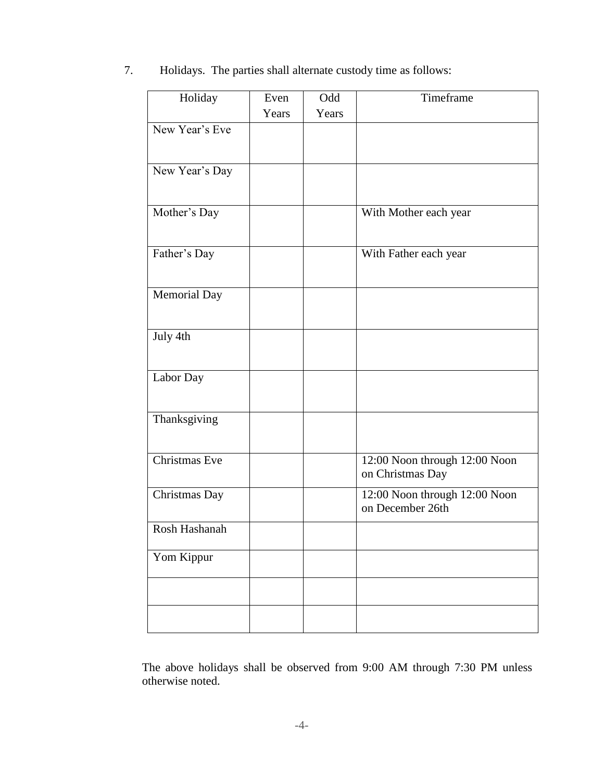7. Holidays. The parties shall alternate custody time as follows:

| Holiday        | Even  | Odd   | Timeframe                                         |
|----------------|-------|-------|---------------------------------------------------|
|                | Years | Years |                                                   |
| New Year's Eve |       |       |                                                   |
| New Year's Day |       |       |                                                   |
| Mother's Day   |       |       | With Mother each year                             |
| Father's Day   |       |       | With Father each year                             |
| Memorial Day   |       |       |                                                   |
| July 4th       |       |       |                                                   |
| Labor Day      |       |       |                                                   |
| Thanksgiving   |       |       |                                                   |
| Christmas Eve  |       |       | 12:00 Noon through 12:00 Noon<br>on Christmas Day |
| Christmas Day  |       |       | 12:00 Noon through 12:00 Noon<br>on December 26th |
| Rosh Hashanah  |       |       |                                                   |
| Yom Kippur     |       |       |                                                   |
|                |       |       |                                                   |
|                |       |       |                                                   |

The above holidays shall be observed from 9:00 AM through 7:30 PM unless otherwise noted.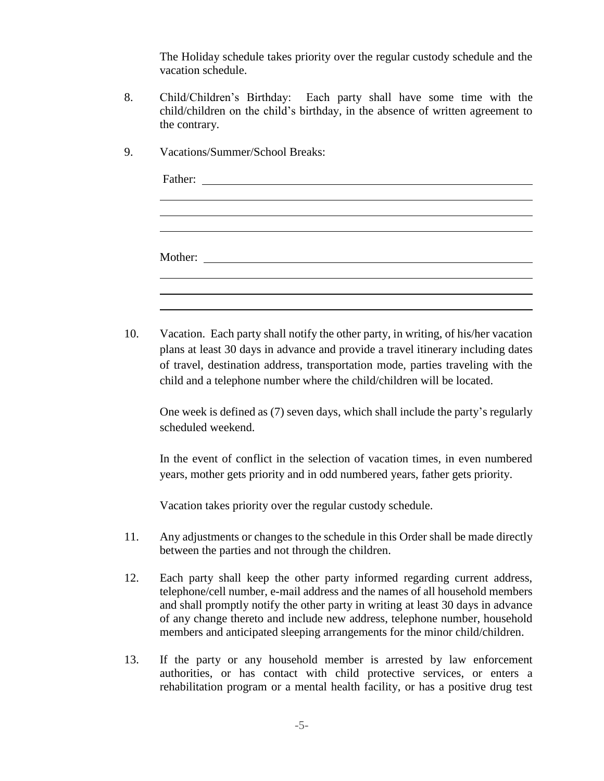The Holiday schedule takes priority over the regular custody schedule and the vacation schedule.

- 8. Child/Children's Birthday: Each party shall have some time with the child/children on the child's birthday, in the absence of written agreement to the contrary.
- 9. Vacations/Summer/School Breaks: Father:  $\blacksquare$ Mother: 10. Vacation. Each party shall notify the other party, in writing, of his/her vacation plans at least 30 days in advance and provide a travel itinerary including dates of travel, destination address, transportation mode, parties traveling with the child and a telephone number where the child/children will be located. One week is defined as (7) seven days, which shall include the party's regularly scheduled weekend. In the event of conflict in the selection of vacation times, in even numbered years, mother gets priority and in odd numbered years, father gets priority. Vacation takes priority over the regular custody schedule. 11. Any adjustments or changes to the schedule in this Order shall be made directly between the parties and not through the children.
- 12. Each party shall keep the other party informed regarding current address, telephone/cell number, e-mail address and the names of all household members and shall promptly notify the other party in writing at least 30 days in advance of any change thereto and include new address, telephone number, household members and anticipated sleeping arrangements for the minor child/children.
- 13. If the party or any household member is arrested by law enforcement authorities, or has contact with child protective services, or enters a rehabilitation program or a mental health facility, or has a positive drug test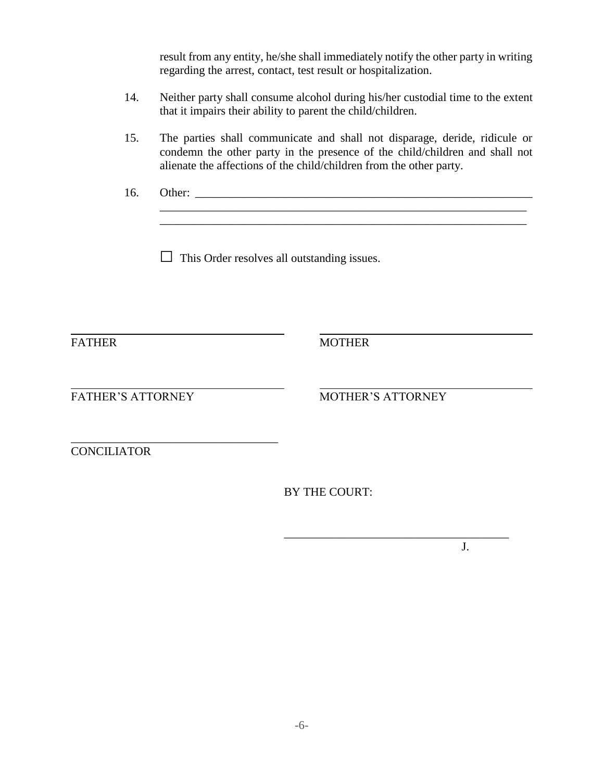| result from any entity, he/she shall immediately notify the other party in writing |  |
|------------------------------------------------------------------------------------|--|
| regarding the arrest, contact, test result or hospitalization.                     |  |

- 14. Neither party shall consume alcohol during his/her custodial time to the extent that it impairs their ability to parent the child/children.
- 15. The parties shall communicate and shall not disparage, deride, ridicule or condemn the other party in the presence of the child/children and shall not alienate the affections of the child/children from the other party.
- 16. Other: \_\_\_\_\_\_\_\_\_\_\_\_\_\_\_\_\_\_\_\_\_\_\_\_\_\_\_\_\_\_\_\_\_\_\_\_\_\_\_\_\_\_\_\_\_\_\_\_\_\_\_\_\_\_\_\_\_

 $\Box$  This Order resolves all outstanding issues.

FATHER MOTHER

\_\_\_\_\_\_\_\_\_\_\_\_\_\_\_\_\_\_\_\_\_\_\_\_\_\_\_\_\_\_\_\_\_\_\_\_\_\_\_\_\_\_\_\_\_\_\_\_\_\_\_\_\_\_\_\_\_\_\_\_\_\_

\_\_\_\_\_\_\_\_\_\_\_\_\_\_\_\_\_\_\_\_\_\_\_\_\_\_\_\_\_\_\_\_\_\_\_

FATHER'S ATTORNEY MOTHER'S ATTORNEY

\_\_\_\_\_\_\_\_\_\_\_\_\_\_\_\_\_\_\_\_\_\_\_\_\_\_\_\_\_\_\_\_\_\_\_\_\_\_

**CONCILIATOR** 

BY THE COURT:

J.